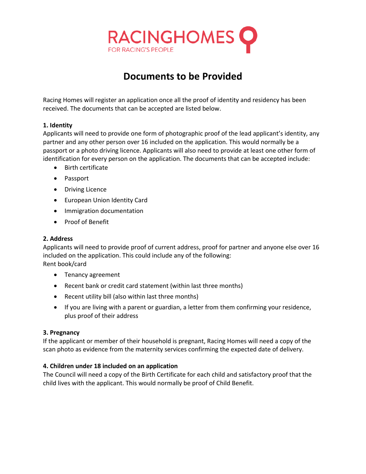

# **Documents to be Provided**

Racing Homes will register an application once all the proof of identity and residency has been received. The documents that can be accepted are listed below.

## **1. Identity**

Applicants will need to provide one form of photographic proof of the lead applicant's identity, any partner and any other person over 16 included on the application. This would normally be a passport or a photo driving licence. Applicants will also need to provide at least one other form of identification for every person on the application. The documents that can be accepted include:

- Birth certificate
- Passport
- Driving Licence
- European Union Identity Card
- Immigration documentation
- Proof of Benefit

#### **2. Address**

Applicants will need to provide proof of current address, proof for partner and anyone else over 16 included on the application. This could include any of the following: Rent book/card

- Tenancy agreement
- Recent bank or credit card statement (within last three months)
- Recent utility bill (also within last three months)
- If you are living with a parent or guardian, a letter from them confirming your residence, plus proof of their address

#### **3. Pregnancy**

If the applicant or member of their household is pregnant, Racing Homes will need a copy of the scan photo as evidence from the maternity services confirming the expected date of delivery.

#### **4. Children under 18 included on an application**

The Council will need a copy of the Birth Certificate for each child and satisfactory proof that the child lives with the applicant. This would normally be proof of Child Benefit.